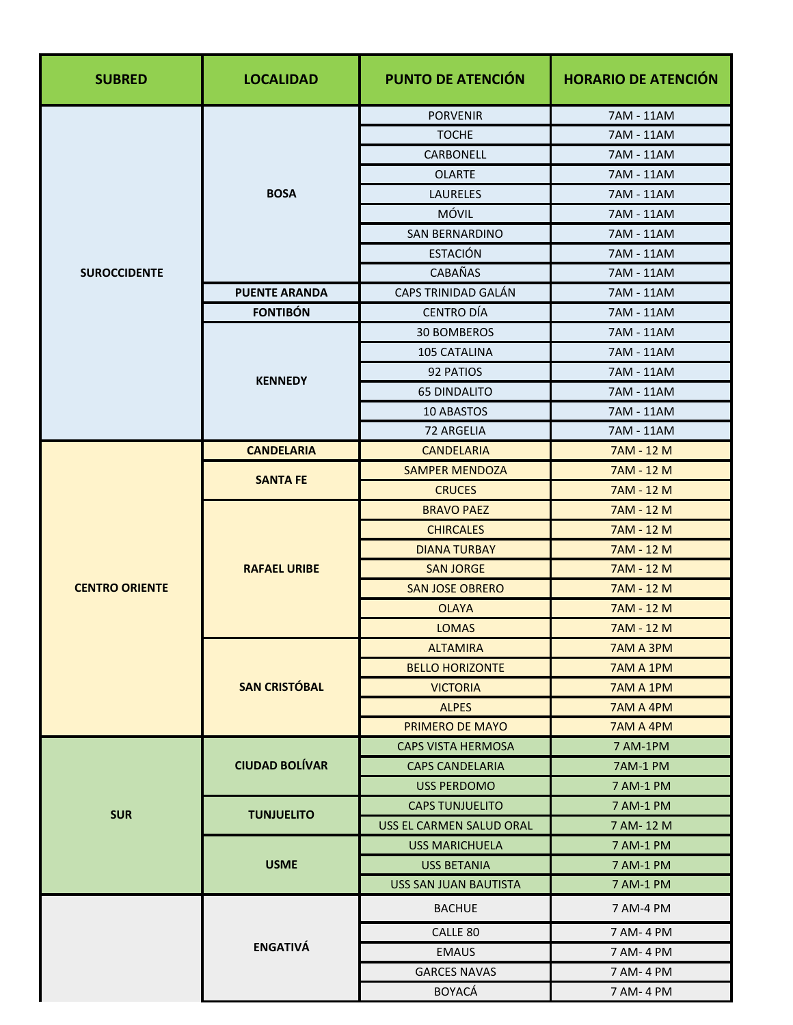| <b>SUBRED</b>         | <b>LOCALIDAD</b>      | PUNTO DE ATENCIÓN               | <b>HORARIO DE ATENCIÓN</b> |
|-----------------------|-----------------------|---------------------------------|----------------------------|
|                       |                       | <b>PORVENIR</b>                 | 7AM - 11AM                 |
|                       | <b>BOSA</b>           | <b>TOCHE</b>                    | 7AM - 11AM                 |
|                       |                       | CARBONELL                       | 7AM - 11AM                 |
|                       |                       | <b>OLARTE</b>                   | 7AM - 11AM                 |
|                       |                       | <b>LAURELES</b>                 | 7AM - 11AM                 |
|                       |                       | MÓVIL                           | 7AM - 11AM                 |
|                       |                       | <b>SAN BERNARDINO</b>           | 7AM - 11AM                 |
|                       |                       | <b>ESTACIÓN</b>                 | 7AM - 11AM                 |
| <b>SUROCCIDENTE</b>   |                       | CABAÑAS                         | 7AM - 11AM                 |
|                       | <b>PUENTE ARANDA</b>  | <b>CAPS TRINIDAD GALÁN</b>      | 7AM - 11AM                 |
|                       | <b>FONTIBÓN</b>       | <b>CENTRO DÍA</b>               | 7AM - 11AM                 |
|                       |                       | <b>30 BOMBEROS</b>              | 7AM - 11AM                 |
|                       |                       | 105 CATALINA                    | 7AM - 11AM                 |
|                       | <b>KENNEDY</b>        | 92 PATIOS                       | 7AM - 11AM                 |
|                       |                       | <b>65 DINDALITO</b>             | 7AM - 11AM                 |
|                       |                       | 10 ABASTOS                      | 7AM - 11AM                 |
|                       |                       | 72 ARGELIA                      | 7AM - 11AM                 |
|                       | <b>CANDELARIA</b>     | <b>CANDELARIA</b>               | 7AM - 12 M                 |
|                       | <b>SANTA FE</b>       | <b>SAMPER MENDOZA</b>           | 7AM - 12 M                 |
|                       |                       | <b>CRUCES</b>                   | 7AM - 12 M                 |
|                       | <b>RAFAEL URIBE</b>   | <b>BRAVO PAEZ</b>               | 7AM - 12 M                 |
| <b>CENTRO ORIENTE</b> |                       | <b>CHIRCALES</b>                | 7AM - 12 M                 |
|                       |                       | <b>DIANA TURBAY</b>             | 7AM - 12 M                 |
|                       |                       | <b>SAN JORGE</b>                | 7AM - 12 M                 |
|                       |                       | <b>SAN JOSE OBRERO</b>          | 7AM - 12 M                 |
|                       |                       | <b>OLAYA</b><br><b>LOMAS</b>    | 7AM - 12 M<br>7AM - 12 M   |
|                       |                       |                                 |                            |
|                       | <b>SAN CRISTÓBAL</b>  | <b>ALTAMIRA</b>                 | 7AM A 3PM                  |
|                       |                       | <b>BELLO HORIZONTE</b>          | 7AM A 1PM                  |
|                       |                       | <b>VICTORIA</b><br><b>ALPES</b> | 7AM A 1PM<br>7AM A 4PM     |
|                       |                       | PRIMERO DE MAYO                 | 7AM A 4PM                  |
|                       |                       | <b>CAPS VISTA HERMOSA</b>       | 7 AM-1PM                   |
| <b>SUR</b>            | <b>CIUDAD BOLÍVAR</b> | <b>CAPS CANDELARIA</b>          | 7AM-1 PM                   |
|                       |                       | <b>USS PERDOMO</b>              | 7 AM-1 PM                  |
|                       | <b>TUNJUELITO</b>     | <b>CAPS TUNJUELITO</b>          | 7 AM-1 PM                  |
|                       |                       | USS EL CARMEN SALUD ORAL        | 7 AM-12 M                  |
|                       | <b>USME</b>           | USS MARICHUELA                  | 7 AM-1 PM                  |
|                       |                       | <b>USS BETANIA</b>              | 7 AM-1 PM                  |
|                       |                       | USS SAN JUAN BAUTISTA           | 7 AM-1 PM                  |
|                       | <b>ENGATIVÁ</b>       | <b>BACHUE</b>                   | 7 AM-4 PM                  |
|                       |                       | CALLE 80                        | 7 AM-4 PM                  |
|                       |                       | <b>EMAUS</b>                    | 7 AM- 4 PM                 |
|                       |                       | <b>GARCES NAVAS</b>             | 7 AM-4 PM                  |
|                       |                       | <b>BOYACA</b>                   | 7 AM-4 PM                  |